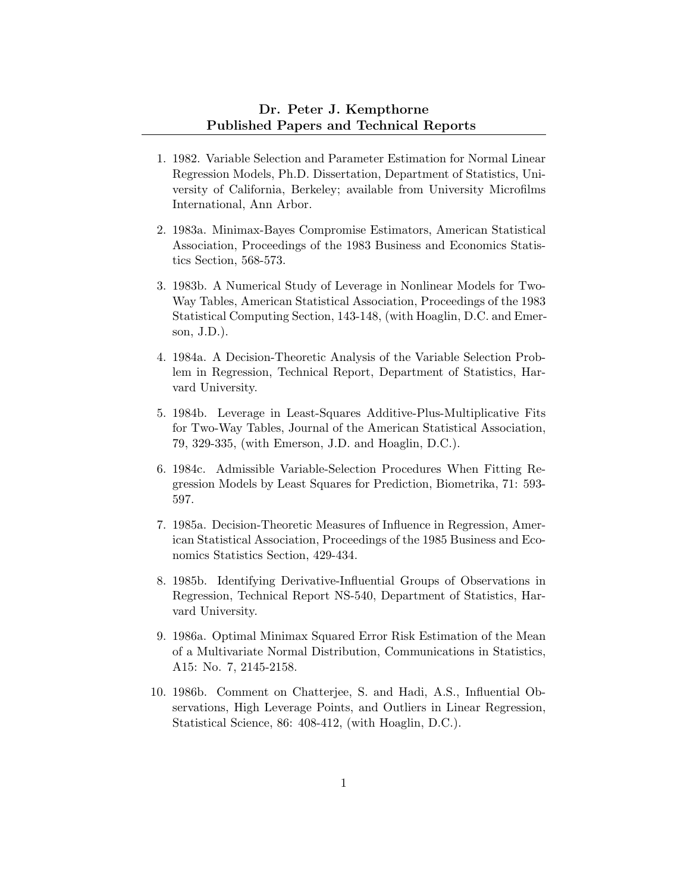## Dr. Peter J. Kempthorne Published Papers and Technical Reports

- 1. 1982. Variable Selection and Parameter Estimation for Normal Linear Regression Models, Ph.D. Dissertation, Department of Statistics, University of California, Berkeley; available from University Microfilms International, Ann Arbor.
- 2. 1983a. Minimax-Bayes Compromise Estimators, American Statistical Association, Proceedings of the 1983 Business and Economics Statistics Section, 568-573.
- 3. 1983b. A Numerical Study of Leverage in Nonlinear Models for Two-Way Tables, American Statistical Association, Proceedings of the 1983 Statistical Computing Section, 143-148, (with Hoaglin, D.C. and Emerson, J.D.).
- 4. 1984a. A Decision-Theoretic Analysis of the Variable Selection Problem in Regression, Technical Report, Department of Statistics, Harvard University.
- 5. 1984b. Leverage in Least-Squares Additive-Plus-Multiplicative Fits for Two-Way Tables, Journal of the American Statistical Association, 79, 329-335, (with Emerson, J.D. and Hoaglin, D.C.).
- 6. 1984c. Admissible Variable-Selection Procedures When Fitting Regression Models by Least Squares for Prediction, Biometrika, 71: 593- 597.
- 7. 1985a. Decision-Theoretic Measures of Influence in Regression, American Statistical Association, Proceedings of the 1985 Business and Economics Statistics Section, 429-434.
- 8. 1985b. Identifying Derivative-Influential Groups of Observations in Regression, Technical Report NS-540, Department of Statistics, Harvard University.
- 9. 1986a. Optimal Minimax Squared Error Risk Estimation of the Mean of a Multivariate Normal Distribution, Communications in Statistics, A15: No. 7, 2145-2158.
- 10. 1986b. Comment on Chatterjee, S. and Hadi, A.S., Influential Observations, High Leverage Points, and Outliers in Linear Regression, Statistical Science, 86: 408-412, (with Hoaglin, D.C.).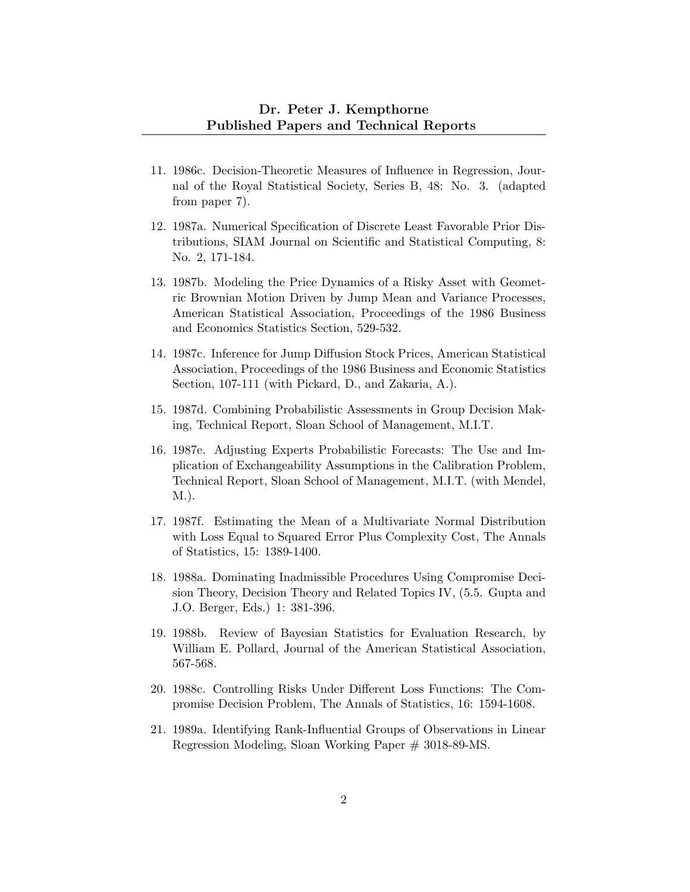- 11. 1986c. Decision-Theoretic Measures of Influence in Regression, Journal of the Royal Statistical Society, Series B, 48: No. 3. (adapted from paper 7).
- 12. 1987a. Numerical Specification of Discrete Least Favorable Prior Distributions, SIAM Journal on Scientific and Statistical Computing, 8: No. 2, 171-184.
- 13. 1987b. Modeling the Price Dynamics of a Risky Asset with Geometric Brownian Motion Driven by Jump Mean and Variance Processes, American Statistical Association, Proceedings of the 1986 Business and Economics Statistics Section, 529-532.
- 14. 1987c. Inference for Jump Diffusion Stock Prices, American Statistical Association, Proceedings of the 1986 Business and Economic Statistics Section, 107-111 (with Pickard, D., and Zakaria, A.).
- 15. 1987d. Combining Probabilistic Assessments in Group Decision Making, Technical Report, Sloan School of Management, M.I.T.
- 16. 1987e. Adjusting Experts Probabilistic Forecasts: The Use and Implication of Exchangeability Assumptions in the Calibration Problem, Technical Report, Sloan School of Management, M.I.T. (with Mendel, M.).
- 17. 1987f. Estimating the Mean of a Multivariate Normal Distribution with Loss Equal to Squared Error Plus Complexity Cost, The Annals of Statistics, 15: 1389-1400.
- 18. 1988a. Dominating Inadmissible Procedures Using Compromise Decision Theory, Decision Theory and Related Topics IV, (5.5. Gupta and J.O. Berger, Eds.) 1: 381-396.
- 19. 1988b. Review of Bayesian Statistics for Evaluation Research, by William E. Pollard, Journal of the American Statistical Association, 567-568.
- 20. 1988c. Controlling Risks Under Different Loss Functions: The Compromise Decision Problem, The Annals of Statistics, 16: 1594-1608.
- 21. 1989a. Identifying Rank-Influential Groups of Observations in Linear Regression Modeling, Sloan Working Paper # 3018-89-MS.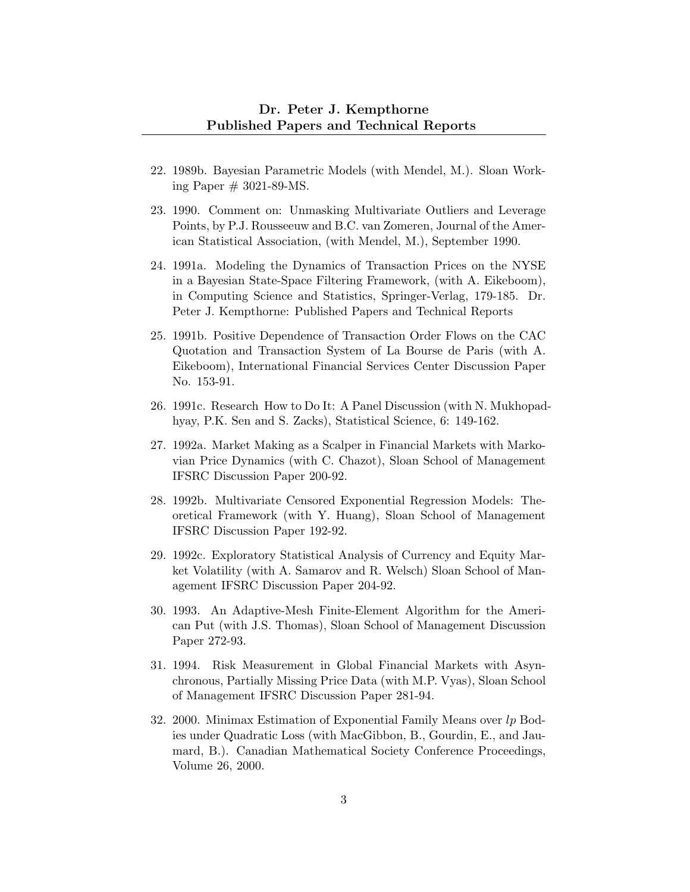- 22. 1989b. Bayesian Parametric Models (with Mendel, M.). Sloan Working Paper  $\#$  3021-89-MS.
- 23. 1990. Comment on: Unmasking Multivariate Outliers and Leverage Points, by P.J. Rousseeuw and B.C. van Zomeren, Journal of the American Statistical Association, (with Mendel, M.), September 1990.
- 24. 1991a. Modeling the Dynamics of Transaction Prices on the NYSE in a Bayesian State-Space Filtering Framework, (with A. Eikeboom), in Computing Science and Statistics, Springer-Verlag, 179-185. Dr. Peter J. Kempthorne: Published Papers and Technical Reports
- 25. 1991b. Positive Dependence of Transaction Order Flows on the CAC Quotation and Transaction System of La Bourse de Paris (with A. Eikeboom), International Financial Services Center Discussion Paper No. 153-91.
- 26. 1991c. Research How to Do It: A Panel Discussion (with N. Mukhopadhyay, P.K. Sen and S. Zacks), Statistical Science, 6: 149-162.
- 27. 1992a. Market Making as a Scalper in Financial Markets with Markovian Price Dynamics (with C. Chazot), Sloan School of Management IFSRC Discussion Paper 200-92.
- 28. 1992b. Multivariate Censored Exponential Regression Models: Theoretical Framework (with Y. Huang), Sloan School of Management IFSRC Discussion Paper 192-92.
- 29. 1992c. Exploratory Statistical Analysis of Currency and Equity Market Volatility (with A. Samarov and R. Welsch) Sloan School of Management IFSRC Discussion Paper 204-92.
- 30. 1993. An Adaptive-Mesh Finite-Element Algorithm for the American Put (with J.S. Thomas), Sloan School of Management Discussion Paper 272-93.
- 31. 1994. Risk Measurement in Global Financial Markets with Asynchronous, Partially Missing Price Data (with M.P. Vyas), Sloan School of Management IFSRC Discussion Paper 281-94.
- 32. 2000. Minimax Estimation of Exponential Family Means over lp Bodies under Quadratic Loss (with MacGibbon, B., Gourdin, E., and Jaumard, B.). Canadian Mathematical Society Conference Proceedings, Volume 26, 2000.